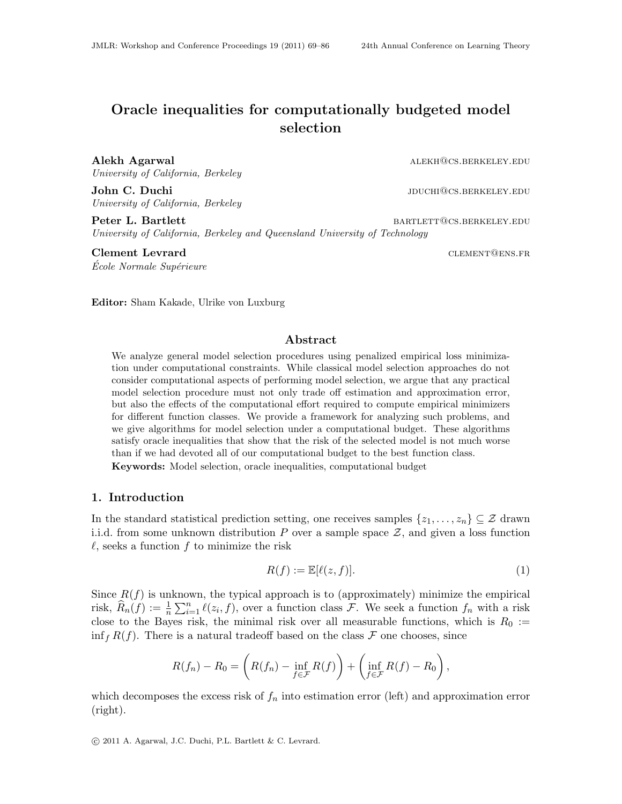# <span id="page-0-0"></span>Oracle inequalities for computationally budgeted model selection

Alekh Agarwal alekh and the settlement of the settlement of the settlement of  $\Delta$  alekh@cs.berkeley.edu University of California, Berkeley

John C. Duchi intervals and the settlement of the settlement of the settlement of  $J$  due to  $J$  due to  $J$  due to  $J$  due to  $J$  due to  $J$  due to  $J$  due to  $J$  due to  $J$  due to  $J$  due to  $J$  due to  $J$  due to  $J$  due University of California, Berkeley

Peter L. Bartlett **bartlett** bartlett bartlett bartlett bartlett bartlett bartlett bartlett bartlett bartlett bartlett bartlett bartlett bartlett bartlett bartlett bartlett bartlett bartlett bartlett bartlett bartlett bart University of California, Berkeley and Queensland University of Technology

Clement Levrard **CLEMENT** CLEMENT CLEMENT CLEMENT CLEMENT CONSISTER École Normale Supérieure

Editor: Sham Kakade, Ulrike von Luxburg

# Abstract

We analyze general model selection procedures using penalized empirical loss minimization under computational constraints. While classical model selection approaches do not consider computational aspects of performing model selection, we argue that any practical model selection procedure must not only trade off estimation and approximation error, but also the effects of the computational effort required to compute empirical minimizers for different function classes. We provide a framework for analyzing such problems, and we give algorithms for model selection under a computational budget. These algorithms satisfy oracle inequalities that show that the risk of the selected model is not much worse than if we had devoted all of our computational budget to the best function class.

Keywords: Model selection, oracle inequalities, computational budget

# 1. Introduction

In the standard statistical prediction setting, one receives samples  $\{z_1, \ldots, z_n\} \subseteq \mathcal{Z}$  drawn i.i.d. from some unknown distribution  $P$  over a sample space  $\mathcal{Z}$ , and given a loss function  $\ell$ , seeks a function f to minimize the risk

$$
R(f) := \mathbb{E}[\ell(z, f)].\tag{1}
$$

Since  $R(f)$  is unknown, the typical approach is to (approximately) minimize the empirical risk,  $\widehat{R}_n(f) := \frac{1}{n} \sum_{i=1}^n \ell(z_i, f)$ , over a function class F. We seek a function  $f_n$  with a risk close to the Bayes risk, the minimal risk over all measurable functions, which is  $R_0 :=$  $\inf_{f} R(f)$ . There is a natural tradeoff based on the class  $\mathcal F$  one chooses, since

$$
R(f_n) - R_0 = \left(R(f_n) - \inf_{f \in \mathcal{F}} R(f)\right) + \left(\inf_{f \in \mathcal{F}} R(f) - R_0\right),
$$

which decomposes the excess risk of  $f_n$  into estimation error (left) and approximation error (right).

c 2011 A. Agarwal, J.C. Duchi, P.L. Bartlett & C. Levrard.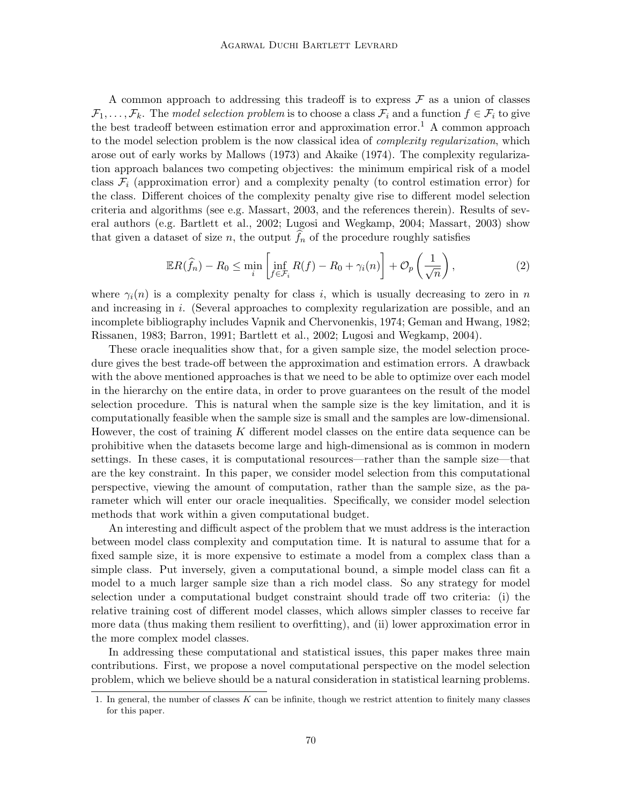A common approach to addressing this tradeoff is to express  $\mathcal F$  as a union of classes  $\mathcal{F}_1,\ldots,\mathcal{F}_k$ . The model selection problem is to choose a class  $\mathcal{F}_i$  and a function  $f \in \mathcal{F}_i$  to give the best tradeoff between estimation error and approximation error.<sup>[1](#page-1-0)</sup> A common approach to the model selection problem is the now classical idea of *complexity regularization*, which arose out of early works by [Mallows](#page-14-0) [\(1973\)](#page-14-0) and [Akaike](#page-14-1) [\(1974\)](#page-14-1). The complexity regularization approach balances two competing objectives: the minimum empirical risk of a model class  $\mathcal{F}_i$  (approximation error) and a complexity penalty (to control estimation error) for the class. Different choices of the complexity penalty give rise to different model selection criteria and algorithms (see e.g. [Massart, 2003,](#page-14-2) and the references therein). Results of several authors (e.g. [Bartlett et al., 2002;](#page-14-3) [Lugosi and Wegkamp, 2004;](#page-14-4) [Massart, 2003\)](#page-14-2) show that given a dataset of size n, the output  $f_n$  of the procedure roughly satisfies

<span id="page-1-1"></span>
$$
\mathbb{E}R(\widehat{f}_n) - R_0 \le \min_i \left[ \inf_{f \in \mathcal{F}_i} R(f) - R_0 + \gamma_i(n) \right] + \mathcal{O}_p\left(\frac{1}{\sqrt{n}}\right),\tag{2}
$$

where  $\gamma_i(n)$  is a complexity penalty for class i, which is usually decreasing to zero in n and increasing in i. (Several approaches to complexity regularization are possible, and an incomplete bibliography includes [Vapnik and Chervonenkis, 1974;](#page-15-0) [Geman and Hwang, 1982;](#page-14-5) [Rissanen, 1983;](#page-14-6) [Barron, 1991;](#page-14-7) [Bartlett et al., 2002;](#page-14-3) [Lugosi and Wegkamp, 2004\)](#page-14-4).

These oracle inequalities show that, for a given sample size, the model selection procedure gives the best trade-off between the approximation and estimation errors. A drawback with the above mentioned approaches is that we need to be able to optimize over each model in the hierarchy on the entire data, in order to prove guarantees on the result of the model selection procedure. This is natural when the sample size is the key limitation, and it is computationally feasible when the sample size is small and the samples are low-dimensional. However, the cost of training  $K$  different model classes on the entire data sequence can be prohibitive when the datasets become large and high-dimensional as is common in modern settings. In these cases, it is computational resources—rather than the sample size—that are the key constraint. In this paper, we consider model selection from this computational perspective, viewing the amount of computation, rather than the sample size, as the parameter which will enter our oracle inequalities. Specifically, we consider model selection methods that work within a given computational budget.

An interesting and difficult aspect of the problem that we must address is the interaction between model class complexity and computation time. It is natural to assume that for a fixed sample size, it is more expensive to estimate a model from a complex class than a simple class. Put inversely, given a computational bound, a simple model class can fit a model to a much larger sample size than a rich model class. So any strategy for model selection under a computational budget constraint should trade off two criteria: (i) the relative training cost of different model classes, which allows simpler classes to receive far more data (thus making them resilient to overfitting), and (ii) lower approximation error in the more complex model classes.

In addressing these computational and statistical issues, this paper makes three main contributions. First, we propose a novel computational perspective on the model selection problem, which we believe should be a natural consideration in statistical learning problems.

<span id="page-1-0"></span><sup>1.</sup> In general, the number of classes  $K$  can be infinite, though we restrict attention to finitely many classes for this paper.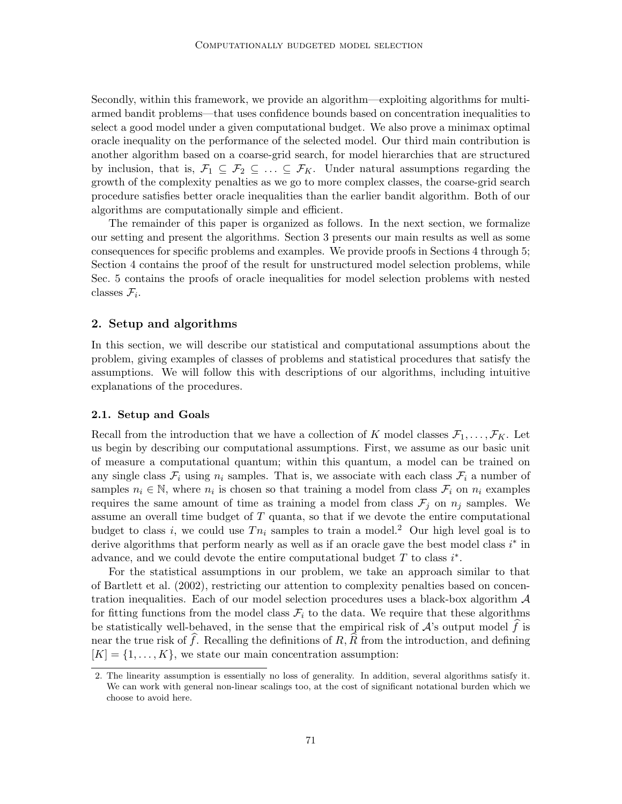Secondly, within this framework, we provide an algorithm—exploiting algorithms for multiarmed bandit problems—that uses confidence bounds based on concentration inequalities to select a good model under a given computational budget. We also prove a minimax optimal oracle inequality on the performance of the selected model. Our third main contribution is another algorithm based on a coarse-grid search, for model hierarchies that are structured by inclusion, that is,  $\mathcal{F}_1 \subseteq \mathcal{F}_2 \subseteq \ldots \subseteq \mathcal{F}_K$ . Under natural assumptions regarding the growth of the complexity penalties as we go to more complex classes, the coarse-grid search procedure satisfies better oracle inequalities than the earlier bandit algorithm. Both of our algorithms are computationally simple and efficient.

The remainder of this paper is organized as follows. In the next section, we formalize our setting and present the algorithms. Section [3](#page-7-0) presents our main results as well as some consequences for specific problems and examples. We provide proofs in Sections [4](#page-10-0) through [5;](#page-11-0) Section [4](#page-10-0) contains the proof of the result for unstructured model selection problems, while Sec. [5](#page-11-0) contains the proofs of oracle inequalities for model selection problems with nested classes  $\mathcal{F}_i$ .

### 2. Setup and algorithms

In this section, we will describe our statistical and computational assumptions about the problem, giving examples of classes of problems and statistical procedures that satisfy the assumptions. We will follow this with descriptions of our algorithms, including intuitive explanations of the procedures.

# 2.1. Setup and Goals

Recall from the introduction that we have a collection of K model classes  $\mathcal{F}_1, \ldots, \mathcal{F}_K$ . Let us begin by describing our computational assumptions. First, we assume as our basic unit of measure a computational quantum; within this quantum, a model can be trained on any single class  $\mathcal{F}_i$  using  $n_i$  samples. That is, we associate with each class  $\mathcal{F}_i$  a number of samples  $n_i \in \mathbb{N}$ , where  $n_i$  is chosen so that training a model from class  $\mathcal{F}_i$  on  $n_i$  examples requires the same amount of time as training a model from class  $\mathcal{F}_j$  on  $n_j$  samples. We assume an overall time budget of  $T$  quanta, so that if we devote the entire computational budget to class i, we could use  $T_{n_i}$  samples to train a model.<sup>[2](#page-2-0)</sup> Our high level goal is to derive algorithms that perform nearly as well as if an oracle gave the best model class  $i^*$  in advance, and we could devote the entire computational budget  $T$  to class  $i^*$ .

For the statistical assumptions in our problem, we take an approach similar to that of [Bartlett et al.](#page-14-3) [\(2002\)](#page-14-3), restricting our attention to complexity penalties based on concentration inequalities. Each of our model selection procedures uses a black-box algorithm  $\mathcal A$ for fitting functions from the model class  $\mathcal{F}_i$  to the data. We require that these algorithms be statistically well-behaved, in the sense that the empirical risk of  $\mathcal{A}$ 's output model  $\hat{f}$  is near the true risk of f. Recalling the definitions of  $R$ ,  $\overline{R}$  from the introduction, and defining  $[K] = \{1, \ldots, K\}$ , we state our main concentration assumption:

<span id="page-2-1"></span><span id="page-2-0"></span><sup>2.</sup> The linearity assumption is essentially no loss of generality. In addition, several algorithms satisfy it. We can work with general non-linear scalings too, at the cost of significant notational burden which we choose to avoid here.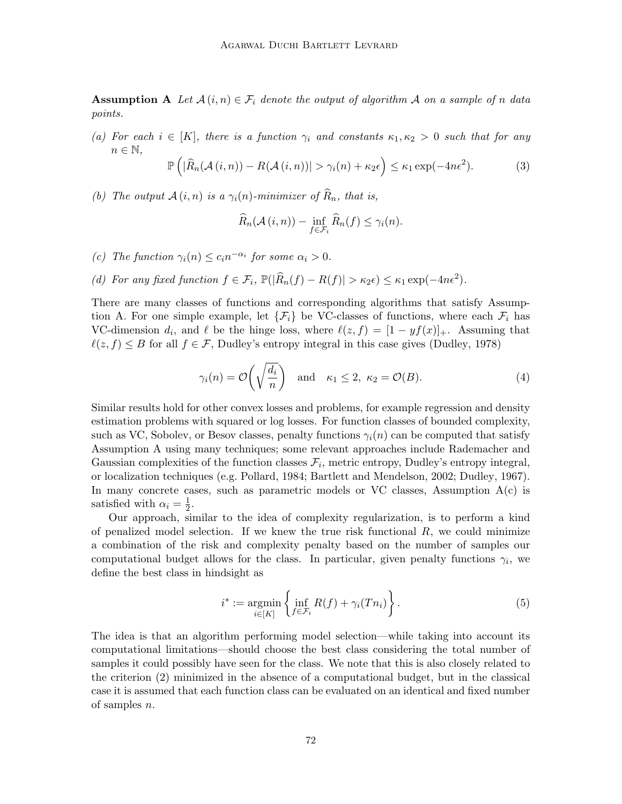**Assumption A** Let  $\mathcal{A}(i, n) \in \mathcal{F}_i$  denote the output of algorithm  $\mathcal{A}$  on a sample of n data points.

<span id="page-3-2"></span>(a) For each  $i \in [K]$ , there is a function  $\gamma_i$  and constants  $\kappa_1, \kappa_2 > 0$  such that for any  $n \in \mathbb{N}$ ,

$$
\mathbb{P}\left(|\widehat{R}_n(\mathcal{A}(i,n)) - R(\mathcal{A}(i,n))| > \gamma_i(n) + \kappa_2 \epsilon\right) \le \kappa_1 \exp(-4n\epsilon^2). \tag{3}
$$

<span id="page-3-3"></span>(b) The output  $\mathcal{A}(i, n)$  is a  $\gamma_i(n)$ -minimizer of  $\widehat{R}_n$ , that is,

$$
\widehat{R}_n(\mathcal{A}(i,n)) - \inf_{f \in \mathcal{F}_i} \widehat{R}_n(f) \leq \gamma_i(n).
$$

- <span id="page-3-0"></span>(c) The function  $\gamma_i(n) \leq c_i n^{-\alpha_i}$  for some  $\alpha_i > 0$ .
- <span id="page-3-4"></span>(d) For any fixed function  $f \in \mathcal{F}_i$ ,  $\mathbb{P}(|\widehat{R}_n(f) - R(f)| > \kappa_2 \epsilon) \leq \kappa_1 \exp(-4n\epsilon^2)$ .

There are many classes of functions and corresponding algorithms that satisfy Assump-tion [A.](#page-2-1) For one simple example, let  $\{\mathcal{F}_i\}$  be VC-classes of functions, where each  $\mathcal{F}_i$  has VC-dimension  $d_i$ , and  $\ell$  be the hinge loss, where  $\ell(z, f) = [1 - yf(x)]_+$ . Assuming that  $\ell(z, f) \leq B$  for all  $f \in \mathcal{F}$ , Dudley's entropy integral in this case gives [\(Dudley, 1978\)](#page-14-8)

<span id="page-3-1"></span>
$$
\gamma_i(n) = \mathcal{O}\left(\sqrt{\frac{d_i}{n}}\right)
$$
 and  $\kappa_1 \le 2$ ,  $\kappa_2 = \mathcal{O}(B)$ . (4)

Similar results hold for other convex losses and problems, for example regression and density estimation problems with squared or log losses. For function classes of bounded complexity, such as VC, Sobolev, or Besov classes, penalty functions  $\gamma_i(n)$  can be computed that satisfy Assumption [A](#page-2-1) using many techniques; some relevant approaches include Rademacher and Gaussian complexities of the function classes  $\mathcal{F}_i$ , metric entropy, Dudley's entropy integral, or localization techniques (e.g. [Pollard, 1984;](#page-14-9) [Bartlett and Mendelson, 2002;](#page-14-10) [Dudley, 1967\)](#page-14-11). In many concrete cases, such as parametric models or VC classes, Assumption  $A(c)$  $A(c)$  is satisfied with  $\alpha_i = \frac{1}{2}$  $\frac{1}{2}$ .

Our approach, similar to the idea of complexity regularization, is to perform a kind of penalized model selection. If we knew the true risk functional  $R$ , we could minimize a combination of the risk and complexity penalty based on the number of samples our computational budget allows for the class. In particular, given penalty functions  $\gamma_i$ , we define the best class in hindsight as

$$
i^* := \underset{i \in [K]}{\operatorname{argmin}} \left\{ \underset{f \in \mathcal{F}_i}{\operatorname{inf}} R(f) + \gamma_i(Tn_i) \right\}.
$$
 (5)

The idea is that an algorithm performing model selection—while taking into account its computational limitations—should choose the best class considering the total number of samples it could possibly have seen for the class. We note that this is also closely related to the criterion [\(2\)](#page-1-1) minimized in the absence of a computational budget, but in the classical case it is assumed that each function class can be evaluated on an identical and fixed number of samples n.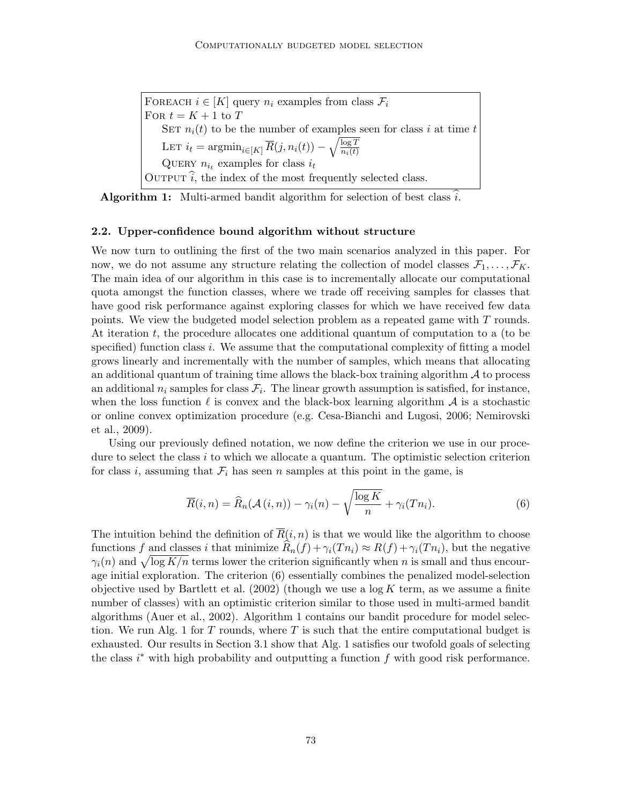FOREACH  $i \in [K]$  query  $n_i$  examples from class  $\mathcal{F}_i$ For  $t = K + 1$  to T SET  $n_i(t)$  to be the number of examples seen for class i at time t LET  $i_t = \operatorname{argmin}_{i \in [K]} \overline{R}(j, n_i(t)) - \sqrt{\frac{\log T}{n_i(t)}}$ DET  $i_t = \arg \min_{i \in [K]} \sum_{i \in (t)} \sum_{i \in (t)} \sqrt{n_i(t)}$ <br>QUERY  $n_{i_t}$  examples for class  $i_t$ OUTPUT  $i$ , the index of the most frequently selected class.

<span id="page-4-1"></span>**Algorithm 1:** Multi-armed bandit algorithm for selection of best class i.

#### 2.2. Upper-confidence bound algorithm without structure

We now turn to outlining the first of the two main scenarios analyzed in this paper. For now, we do not assume any structure relating the collection of model classes  $\mathcal{F}_1, \ldots, \mathcal{F}_K$ . The main idea of our algorithm in this case is to incrementally allocate our computational quota amongst the function classes, where we trade off receiving samples for classes that have good risk performance against exploring classes for which we have received few data points. We view the budgeted model selection problem as a repeated game with T rounds. At iteration t, the procedure allocates one additional quantum of computation to a (to be specified) function class i. We assume that the computational complexity of fitting a model grows linearly and incrementally with the number of samples, which means that allocating an additional quantum of training time allows the black-box training algorithm  $\mathcal A$  to process an additional  $n_i$  samples for class  $\mathcal{F}_i$ . The linear growth assumption is satisfied, for instance, when the loss function  $\ell$  is convex and the black-box learning algorithm  $\mathcal A$  is a stochastic or online convex optimization procedure (e.g. [Cesa-Bianchi and Lugosi, 2006;](#page-14-12) [Nemirovski](#page-14-13) [et al., 2009\)](#page-14-13).

Using our previously defined notation, we now define the criterion we use in our procedure to select the class i to which we allocate a quantum. The optimistic selection criterion for class i, assuming that  $\mathcal{F}_i$  has seen n samples at this point in the game, is

<span id="page-4-0"></span>
$$
\overline{R}(i,n) = \widehat{R}_n(\mathcal{A}(i,n)) - \gamma_i(n) - \sqrt{\frac{\log K}{n}} + \gamma_i(Tn_i).
$$
\n(6)

The intuition behind the definition of  $\overline{R}(i, n)$  is that we would like the algorithm to choose functions f and classes i that minimize  $\widehat{R}_n(f) + \gamma_i(T n_i) \approx R(f) + \gamma_i(T n_i)$ , but the negative  $\gamma_i(n)$  and  $\sqrt{\log K/n}$  terms lower the criterion significantly when n is small and thus encourage initial exploration. The criterion [\(6\)](#page-4-0) essentially combines the penalized model-selection objective used by [Bartlett et al.](#page-14-3)  $(2002)$  (though we use a log K term, as we assume a finite number of classes) with an optimistic criterion similar to those used in multi-armed bandit algorithms [\(Auer et al., 2002\)](#page-14-14). Algorithm [1](#page-4-1) contains our bandit procedure for model selec-tion. We run Alg. [1](#page-4-1) for  $T$  rounds, where  $T$  is such that the entire computational budget is exhausted. Our results in Section [3.1](#page-7-1) show that Alg. [1](#page-4-1) satisfies our twofold goals of selecting the class  $i^*$  with high probability and outputting a function  $f$  with good risk performance.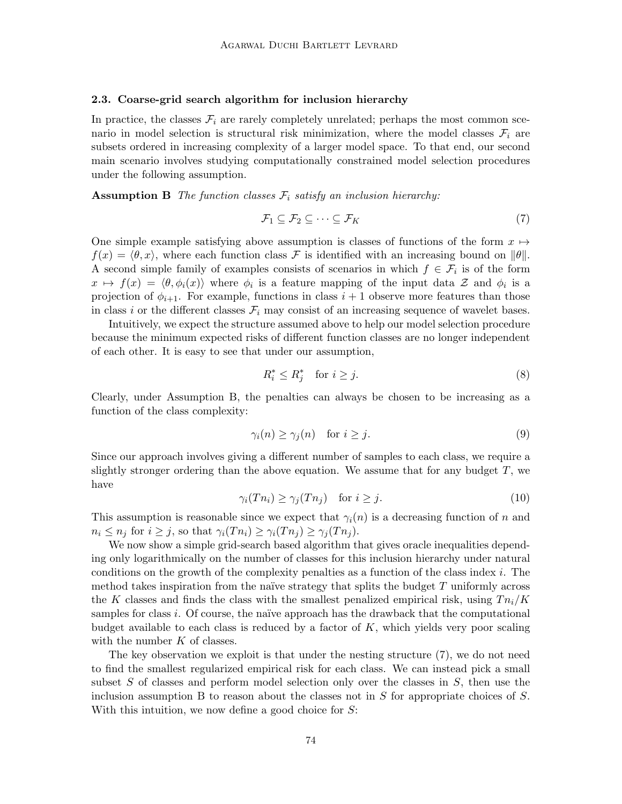#### <span id="page-5-3"></span>2.3. Coarse-grid search algorithm for inclusion hierarchy

In practice, the classes  $\mathcal{F}_i$  are rarely completely unrelated; perhaps the most common scenario in model selection is structural risk minimization, where the model classes  $\mathcal{F}_i$  are subsets ordered in increasing complexity of a larger model space. To that end, our second main scenario involves studying computationally constrained model selection procedures under the following assumption.

**Assumption B** The function classes  $\mathcal{F}_i$  satisfy an inclusion hierarchy:

<span id="page-5-1"></span><span id="page-5-0"></span>
$$
\mathcal{F}_1 \subseteq \mathcal{F}_2 \subseteq \cdots \subseteq \mathcal{F}_K \tag{7}
$$

One simple example satisfying above assumption is classes of functions of the form  $x \mapsto$  $f(x) = \langle \theta, x \rangle$ , where each function class F is identified with an increasing bound on  $\|\theta\|$ . A second simple family of examples consists of scenarios in which  $f \in \mathcal{F}_i$  is of the form  $x \mapsto f(x) = \langle \theta, \phi_i(x) \rangle$  where  $\phi_i$  is a feature mapping of the input data Z and  $\phi_i$  is a projection of  $\phi_{i+1}$ . For example, functions in class  $i+1$  observe more features than those in class i or the different classes  $\mathcal{F}_i$  may consist of an increasing sequence of wavelet bases.

Intuitively, we expect the structure assumed above to help our model selection procedure because the minimum expected risks of different function classes are no longer independent of each other. It is easy to see that under our assumption,

$$
R_i^* \le R_j^* \quad \text{for } i \ge j. \tag{8}
$$

Clearly, under Assumption [B,](#page-5-0) the penalties can always be chosen to be increasing as a function of the class complexity:

$$
\gamma_i(n) \ge \gamma_j(n) \quad \text{for } i \ge j. \tag{9}
$$

Since our approach involves giving a different number of samples to each class, we require a slightly stronger ordering than the above equation. We assume that for any budget  $T$ , we have

$$
\gamma_i(Tn_i) \ge \gamma_j(Tn_j) \quad \text{for } i \ge j. \tag{10}
$$

This assumption is reasonable since we expect that  $\gamma_i(n)$  is a decreasing function of n and  $n_i \leq n_j$  for  $i \geq j$ , so that  $\gamma_i(T_{n_i}) \geq \gamma_i(T_{n_j}) \geq \gamma_i(T_{n_j}).$ 

We now show a simple grid-search based algorithm that gives oracle inequalities depending only logarithmically on the number of classes for this inclusion hierarchy under natural conditions on the growth of the complexity penalties as a function of the class index  $i$ . The method takes inspiration from the naïve strategy that splits the budget  $T$  uniformly across the K classes and finds the class with the smallest penalized empirical risk, using  $T_{n_i}/K$ samples for class i. Of course, the naïve approach has the drawback that the computational budget available to each class is reduced by a factor of  $K$ , which yields very poor scaling with the number  $K$  of classes.

<span id="page-5-2"></span>The key observation we exploit is that under the nesting structure [\(7\)](#page-5-1), we do not need to find the smallest regularized empirical risk for each class. We can instead pick a small subset S of classes and perform model selection only over the classes in  $S$ , then use the inclusion assumption [B](#page-5-0) to reason about the classes not in  $S$  for appropriate choices of  $S$ . With this intuition, we now define a good choice for  $S$ :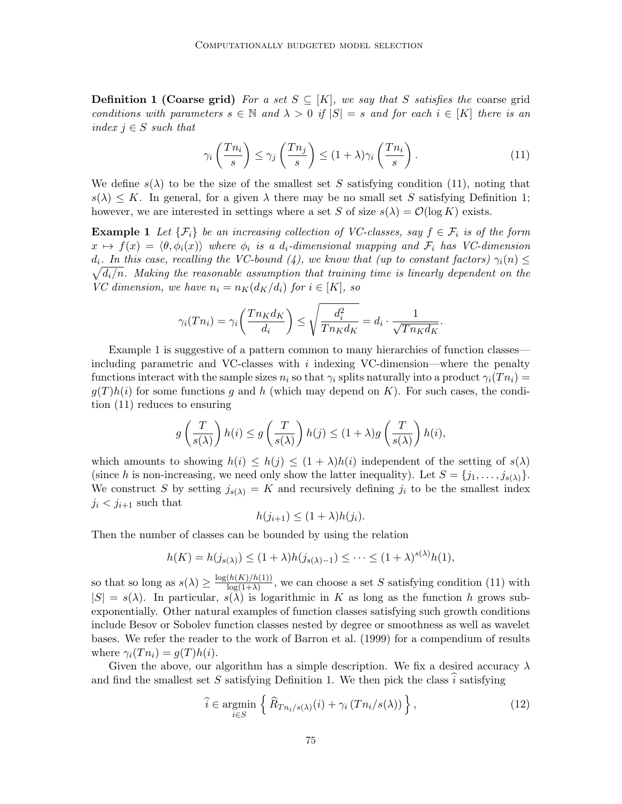**Definition 1 (Coarse grid)** For a set  $S \subseteq [K]$ , we say that S satisfies the coarse grid conditions with parameters  $s \in \mathbb{N}$  and  $\lambda > 0$  if  $|S| = s$  and for each  $i \in [K]$  there is an index  $j \in S$  such that

<span id="page-6-1"></span><span id="page-6-0"></span>
$$
\gamma_i\left(\frac{Tn_i}{s}\right) \le \gamma_j\left(\frac{Tn_j}{s}\right) \le (1+\lambda)\gamma_i\left(\frac{Tn_i}{s}\right). \tag{11}
$$

We define  $s(\lambda)$  to be the size of the smallest set S satisfying condition [\(11\)](#page-6-0), noting that  $s(\lambda) \leq K$ . In general, for a given  $\lambda$  there may be no small set S satisfying Definition [1;](#page-5-2) however, we are interested in settings where a set S of size  $s(\lambda) = \mathcal{O}(\log K)$  exists.

**Example 1** Let  $\{\mathcal{F}_i\}$  be an increasing collection of VC-classes, say  $f \in \mathcal{F}_i$  is of the form  $x \mapsto f(x) = \langle \theta, \phi_i(x) \rangle$  where  $\phi_i$  is a d<sub>i</sub>-dimensional mapping and  $\mathcal{F}_i$  has VC-dimension  $\sqrt{d_i/n}$ . Making the reasonable assumption that training time is linearly dependent on the  $d_i$ . In this case, recalling the VC-bound [\(4\)](#page-3-1), we know that (up to constant factors)  $\gamma_i(n) \leq$ VC dimension, we have  $n_i = n_K(d_K/d_i)$  for  $i \in [K]$ , so

$$
\gamma_i(Tn_i) = \gamma_i\bigg(\frac{Tn_Kd_K}{d_i}\bigg) \le \sqrt{\frac{d_i^2}{Tn_Kd_K}} = d_i \cdot \frac{1}{\sqrt{Tn_Kd_K}}.
$$

Example [1](#page-6-1) is suggestive of a pattern common to many hierarchies of function classes including parametric and VC-classes with  $i$  indexing VC-dimension—where the penalty functions interact with the sample sizes  $n_i$  so that  $\gamma_i$  splits naturally into a product  $\gamma_i(T_{n_i}) =$  $g(T)h(i)$  for some functions g and h (which may depend on K). For such cases, the condition [\(11\)](#page-6-0) reduces to ensuring

$$
g\left(\frac{T}{s(\lambda)}\right)h(i) \le g\left(\frac{T}{s(\lambda)}\right)h(j) \le (1+\lambda)g\left(\frac{T}{s(\lambda)}\right)h(i),
$$

which amounts to showing  $h(i) \leq h(j) \leq (1 + \lambda)h(i)$  independent of the setting of  $s(\lambda)$ (since h is non-increasing, we need only show the latter inequality). Let  $S = \{j_1, \ldots, j_{s(\lambda)}\}.$ We construct S by setting  $j_{s(\lambda)} = K$  and recursively defining  $j_i$  to be the smallest index  $j_i < j_{i+1}$  such that

$$
h(j_{i+1}) \le (1+\lambda)h(j_i).
$$

Then the number of classes can be bounded by using the relation

$$
h(K) = h(j_{s(\lambda)}) \le (1 + \lambda)h(j_{s(\lambda)-1}) \le \cdots \le (1 + \lambda)^{s(\lambda)}h(1),
$$

so that so long as  $s(\lambda) \geq \frac{\log(h(K)/h(1))}{\log(1+\lambda)}$  $\frac{(n(K)/n(1))}{\log(1+\lambda)}$ , we can choose a set S satisfying condition [\(11\)](#page-6-0) with  $|S| = s(\lambda)$ . In particular,  $s(\lambda)$  is logarithmic in K as long as the function h grows subexponentially. Other natural examples of function classes satisfying such growth conditions include Besov or Sobolev function classes nested by degree or smoothness as well as wavelet bases. We refer the reader to the work of [Barron et al.](#page-14-15) [\(1999\)](#page-14-15) for a compendium of results where  $\gamma_i(T n_i) = g(T)h(i)$ .

Given the above, our algorithm has a simple description. We fix a desired accuracy  $\lambda$ and find the smallest set S satisfying Definition [1.](#page-5-2) We then pick the class  $\hat{i}$  satisfying

<span id="page-6-2"></span>
$$
\widehat{i} \in \underset{i \in S}{\text{argmin}} \left\{ \widehat{R}_{T n_i/s(\lambda)}(i) + \gamma_i \left( T n_i/s(\lambda) \right) \right\},\tag{12}
$$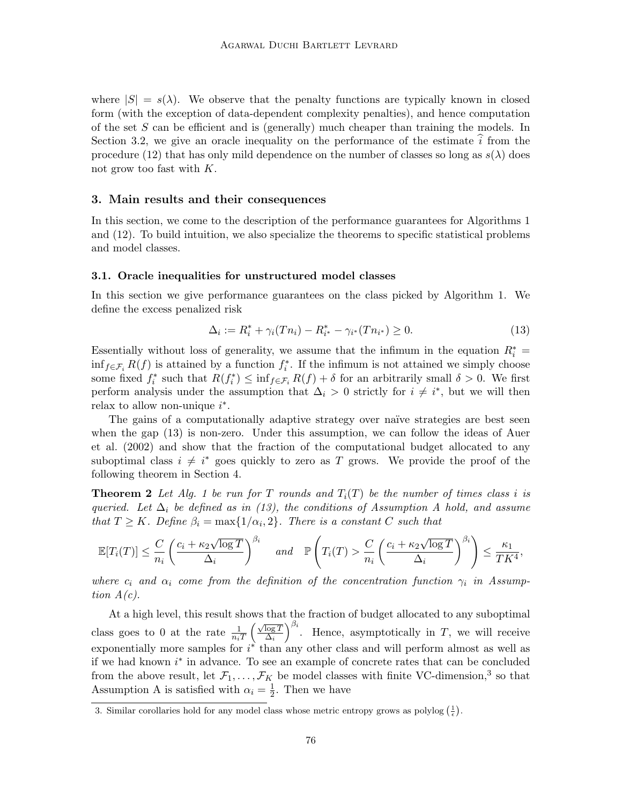where  $|S| = s(\lambda)$ . We observe that the penalty functions are typically known in closed form (with the exception of data-dependent complexity penalties), and hence computation of the set  $S$  can be efficient and is (generally) much cheaper than training the models. In Section [3.2,](#page-9-0) we give an oracle inequality on the performance of the estimate  $i$  from the procedure [\(12\)](#page-6-2) that has only mild dependence on the number of classes so long as  $s(\lambda)$  does not grow too fast with K.

# <span id="page-7-0"></span>3. Main results and their consequences

In this section, we come to the description of the performance guarantees for Algorithms [1](#page-4-1) and [\(12\)](#page-6-2). To build intuition, we also specialize the theorems to specific statistical problems and model classes.

#### <span id="page-7-1"></span>3.1. Oracle inequalities for unstructured model classes

In this section we give performance guarantees on the class picked by Algorithm [1.](#page-4-1) We define the excess penalized risk

<span id="page-7-4"></span><span id="page-7-2"></span>
$$
\Delta_i := R_i^* + \gamma_i(Tn_i) - R_{i^*}^* - \gamma_{i^*}(Tn_{i^*}) \ge 0.
$$
\n(13)

Essentially without loss of generality, we assume that the infimum in the equation  $R_i^*$  =  $\inf_{f \in \mathcal{F}_i} R(f)$  is attained by a function  $f_i^*$ . If the infimum is not attained we simply choose some fixed  $f_i^*$  such that  $R(f_i^*) \leq \inf_{f \in \mathcal{F}_i} R(f) + \delta$  for an arbitrarily small  $\delta > 0$ . We first perform analysis under the assumption that  $\Delta_i > 0$  strictly for  $i \neq i^*$ , but we will then relax to allow non-unique  $i^*$ .

The gains of a computationally adaptive strategy over naïve strategies are best seen when the gap [\(13\)](#page-7-2) is non-zero. Under this assumption, we can follow the ideas of [Auer](#page-14-14) [et al.](#page-14-14) [\(2002\)](#page-14-14) and show that the fraction of the computational budget allocated to any suboptimal class  $i \neq i^*$  goes quickly to zero as T grows. We provide the proof of the following theorem in Section [4.](#page-10-0)

**Theorem 2** Let Alg. [1](#page-4-1) be run for T rounds and  $T_i(T)$  be the number of times class i is queried. Let  $\Delta_i$  be defined as in [\(13\)](#page-7-2), the conditions of [A](#page-2-1)ssumption A hold, and assume that  $T \geq K$ . Define  $\beta_i = \max\{1/\alpha_i, 2\}$ . There is a constant C such that

$$
\mathbb{E}[T_i(T)] \leq \frac{C}{n_i} \left(\frac{c_i + \kappa_2 \sqrt{\log T}}{\Delta_i}\right)^{\beta_i} \quad and \quad \mathbb{P}\left(T_i(T) > \frac{C}{n_i} \left(\frac{c_i + \kappa_2 \sqrt{\log T}}{\Delta_i}\right)^{\beta_i}\right) \leq \frac{\kappa_1}{TK^4},
$$

where  $c_i$  and  $\alpha_i$  come from the definition of the concentration function  $\gamma_i$  in Assumption [A\(](#page-2-1)[c\)](#page-3-0).

At a high level, this result shows that the fraction of budget allocated to any suboptimal class goes to 0 at the rate  $\frac{1}{n_iT}$  $\sqrt{\log T}$  $\overline{\Delta_i}$  $\int_{0}^{\beta_i}$ . Hence, asymptotically in T, we will receive exponentially more samples for  $i^*$  than any other class and will perform almost as well as if we had known  $i^*$  in advance. To see an example of concrete rates that can be concluded from the above result, let  $\mathcal{F}_1, \ldots, \mathcal{F}_K$  be model classes with finite VC-dimension,<sup>[3](#page-7-3)</sup> so that Assumption [A](#page-2-1) is satisfied with  $\alpha_i = \frac{1}{2}$  $\frac{1}{2}$ . Then we have

<span id="page-7-5"></span><span id="page-7-3"></span><sup>3.</sup> Similar corollaries hold for any model class whose metric entropy grows as polylog  $(\frac{1}{\epsilon})$ .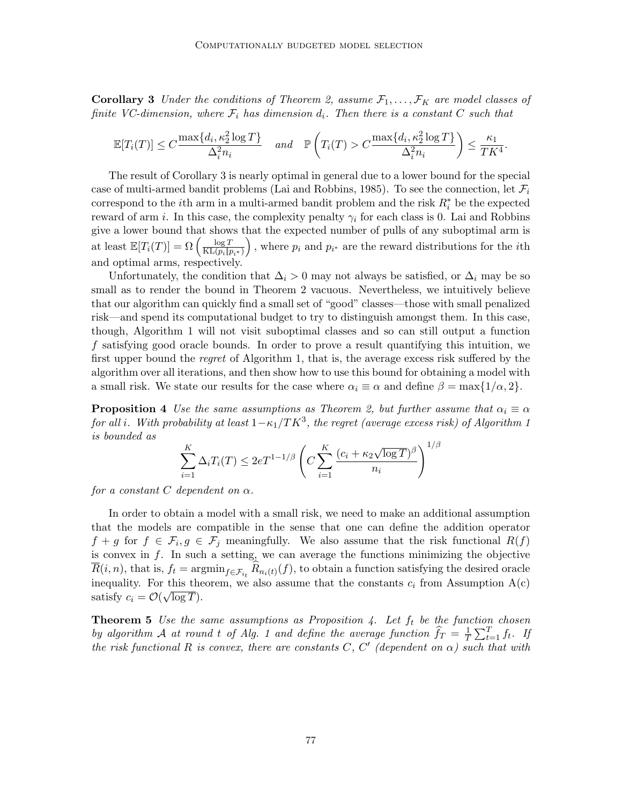**Corollary 3** Under the conditions of Theorem [2,](#page-7-4) assume  $\mathcal{F}_1, \ldots, \mathcal{F}_K$  are model classes of finite VC-dimension, where  $\mathcal{F}_i$  has dimension  $d_i$ . Then there is a constant C such that

$$
\mathbb{E}[T_i(T)] \leq C \frac{\max\{d_i, \kappa_2^2 \log T\}}{\Delta_i^2 n_i} \quad and \quad \mathbb{P}\left(T_i(T) > C \frac{\max\{d_i, \kappa_2^2 \log T\}}{\Delta_i^2 n_i}\right) \leq \frac{\kappa_1}{TK^4}.
$$

The result of Corollary [3](#page-7-5) is nearly optimal in general due to a lower bound for the special case of multi-armed bandit problems [\(Lai and Robbins, 1985\)](#page-14-16). To see the connection, let  $\mathcal{F}_i$ correspond to the *i*<sup>th</sup> arm in a multi-armed bandit problem and the risk  $R_i^*$  be the expected reward of arm *i*. In this case, the complexity penalty  $\gamma_i$  for each class is 0. [Lai and Robbins](#page-14-16) give a lower bound that shows that the expected number of pulls of any suboptimal arm is at least  $\mathbb{E}[T_i(T)] = \Omega\left(\frac{\log T}{\text{KL}(n)\ln T}\right)$  $KL(p_i||p_{i^*})$ ), where  $p_i$  and  $p_{i^*}$  are the reward distributions for the *i*th and optimal arms, respectively.

Unfortunately, the condition that  $\Delta_i > 0$  may not always be satisfied, or  $\Delta_i$  may be so small as to render the bound in Theorem [2](#page-7-4) vacuous. Nevertheless, we intuitively believe that our algorithm can quickly find a small set of "good" classes—those with small penalized risk—and spend its computational budget to try to distinguish amongst them. In this case, though, Algorithm [1](#page-4-1) will not visit suboptimal classes and so can still output a function f satisfying good oracle bounds. In order to prove a result quantifying this intuition, we first upper bound the *regret* of Algorithm [1,](#page-4-1) that is, the average excess risk suffered by the algorithm over all iterations, and then show how to use this bound for obtaining a model with a small risk. We state our results for the case where  $\alpha_i \equiv \alpha$  and define  $\beta = \max\{1/\alpha, 2\}$ .

**Proposition 4** Use the same assumptions as Theorem [2,](#page-7-4) but further assume that  $\alpha_i \equiv \alpha$ for all i. With probability at least  $1-\kappa_1/TK^3,$  the regret (average excess risk) of Algorithm [1](#page-4-1) is bounded as !1/β

<span id="page-8-0"></span>
$$
\sum_{i=1}^{K} \Delta_i T_i(T) \le 2eT^{1-1/\beta} \left(C \sum_{i=1}^{K} \frac{(c_i + \kappa_2 \sqrt{\log T})^{\beta}}{n_i}\right)^{1/\beta}
$$

for a constant  $C$  dependent on  $\alpha$ .

In order to obtain a model with a small risk, we need to make an additional assumption that the models are compatible in the sense that one can define the addition operator  $f + g$  for  $f \in \mathcal{F}_i, g \in \mathcal{F}_j$  meaningfully. We also assume that the risk functional  $R(f)$ is convex in  $f$ . In such a setting, we can average the functions minimizing the objective  $R(i, n)$ , that is,  $f_t = \operatorname{argmin}_{f \in \mathcal{F}_{i_t}} R_{n_i(t)}(f)$ , to obtain a function satisfying the desired oracle inequality. For this theorem, we also assume that the constants  $c_i$  from Assumption [A\(](#page-2-1)[c\)](#page-3-0) satisfy  $c_i = \mathcal{O}(\sqrt{\log T}).$ 

<span id="page-8-1"></span>**Theorem 5** Use the same assumptions as Proposition [4.](#page-8-0) Let  $f_t$  be the function chosen by algorithm A at round t of Alg. [1](#page-4-1) and define the average function  $\hat{f}_T = \frac{1}{T}$  $\frac{1}{T} \sum_{t=1}^T f_t$ . If the risk functional R is convex, there are constants C, C' (dependent on  $\alpha$ ) such that with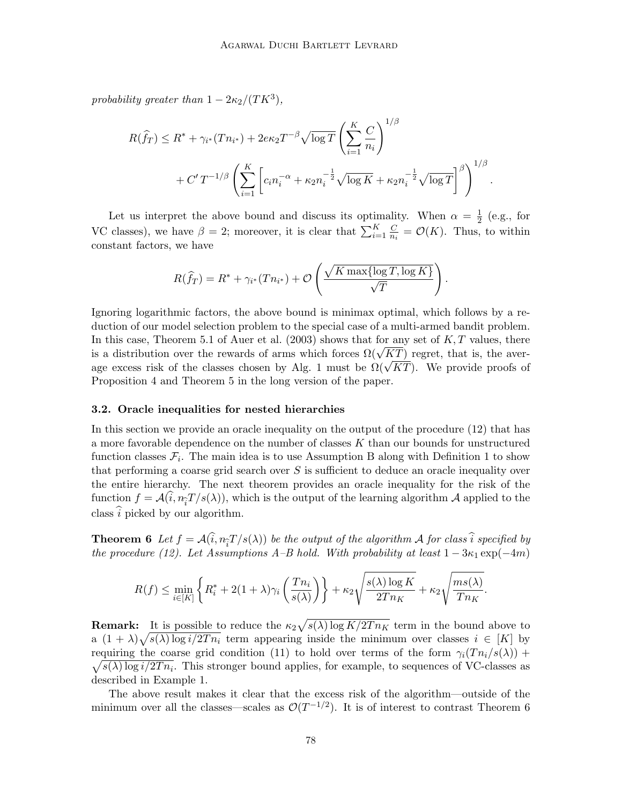probability greater than  $1 - 2\kappa_2/(TK^3)$ ,

$$
R(\hat{f}_T) \leq R^* + \gamma_{i^*}(T n_{i^*}) + 2e\kappa_2 T^{-\beta} \sqrt{\log T} \left(\sum_{i=1}^K \frac{C}{n_i}\right)^{1/\beta} + C' T^{-1/\beta} \left(\sum_{i=1}^K \left[c_i n_i^{-\alpha} + \kappa_2 n_i^{-\frac{1}{2}} \sqrt{\log K} + \kappa_2 n_i^{-\frac{1}{2}} \sqrt{\log T}\right]^\beta\right)^{1/\beta}.
$$

Let us interpret the above bound and discuss its optimality. When  $\alpha = \frac{1}{2}$  $rac{1}{2}$  (e.g., for VC classes), we have  $\beta = 2$ ; moreover, it is clear that  $\sum_{i=1}^{K} \frac{C_i}{n_i}$  $\frac{C}{n_i} = \mathcal{O}(K)$ . Thus, to within constant factors, we have

$$
R(\widehat{f}_T) = R^* + \gamma_{i^*}(T n_{i^*}) + \mathcal{O}\left(\frac{\sqrt{K \max\{\log T, \log K\}}}{\sqrt{T}}\right).
$$

Ignoring logarithmic factors, the above bound is minimax optimal, which follows by a reduction of our model selection problem to the special case of a multi-armed bandit problem. In this case, Theorem 5.1 of [Auer et al.](#page-14-17)  $(2003)$  shows that for any set of K, T values, there in this case, Theorem 5.1 of Auer et al. (2003) shows that for any set of  $K, I$  values, there is a distribution over the rewards of arms which forces  $\Omega(\sqrt{KT})$  regret, that is, the averis a distribution over the rewards of arms which forces  $\iota(\sqrt{KT})$  regret, that is, the average excess risk of the classes chosen by Alg. [1](#page-4-1) must be  $\Omega(\sqrt{KT})$ . We provide proofs of Proposition [4](#page-8-0) and Theorem [5](#page-8-1) in the long version of the paper.

#### <span id="page-9-0"></span>3.2. Oracle inequalities for nested hierarchies

In this section we provide an oracle inequality on the output of the procedure [\(12\)](#page-6-2) that has a more favorable dependence on the number of classes  $K$  than our bounds for unstructured function classes  $\mathcal{F}_i$ . The main idea is to use Assumption [B](#page-5-0) along with Definition [1](#page-5-2) to show that performing a coarse grid search over S is sufficient to deduce an oracle inequality over the entire hierarchy. The next theorem provides an oracle inequality for the risk of the function  $f = \mathcal{A}(i, n_{\tilde{i}}T/s(\lambda))$ , which is the output of the learning algorithm  $\mathcal{A}$  applied to the class  $\hat{i}$  picked by our algorithm.

<span id="page-9-1"></span>**Theorem 6** Let  $f = \mathcal{A}(i, n_{\tilde{i}}T / s(\lambda))$  be the output of the algorithm  $\mathcal{A}$  for class i specified by the presedence  $(1,0)$ . Let  $A$  commutions  $A, B$  held. With prehability at least  $1, 2$  and  $(4,0)$ . the procedure [\(12\)](#page-6-2). Let Assumptions [A–](#page-2-1)[B](#page-5-0) hold. With probability at least  $1 - 3\kappa_1 \exp(-4m)$ 

$$
R(f) \le \min_{i \in [K]} \left\{ R_i^* + 2(1+\lambda)\gamma_i \left( \frac{Tn_i}{s(\lambda)} \right) \right\} + \kappa_2 \sqrt{\frac{s(\lambda) \log K}{2Tn_K}} + \kappa_2 \sqrt{\frac{ms(\lambda)}{Tn_K}}.
$$

**Remark:** It is possible to reduce the  $\kappa_2 \sqrt{s(\lambda) \log K/2T n_K}$  term in the bound above to a  $(1 + \lambda)\sqrt{s(\lambda)\log i/2T_n}$  term appearing inside the minimum over classes  $i \in [K]$  by requiring the coarse grid condition [\(11\)](#page-6-0) to hold over terms of the form  $\gamma_i(T n_i/s(\lambda))$  +  $\sqrt{s(\lambda) \log i/2T n_i}$ . This stronger bound applies, for example, to sequences of VC-classes as described in Example [1.](#page-6-1)

The above result makes it clear that the excess risk of the algorithm—outside of the minimum over all the classes—scales as  $\mathcal{O}(T^{-1/2})$ . It is of interest to contrast Theorem [6](#page-9-1)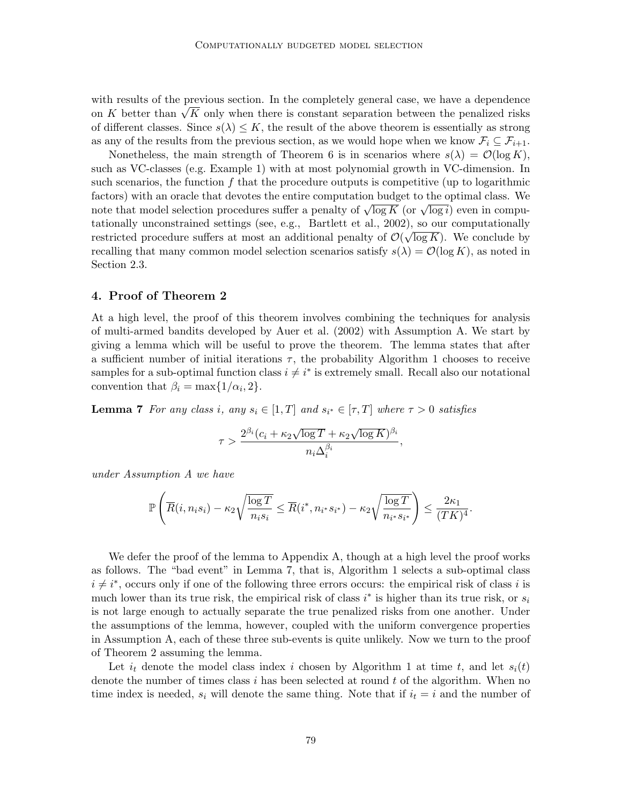with results of the previous section. In the completely general case, we have a dependence with results of the previous section. In the completely general case, we have a dependence<br>on K better than  $\sqrt{K}$  only when there is constant separation between the penalized risks of different classes. Since  $s(\lambda) \leq K$ , the result of the above theorem is essentially as strong as any of the results from the previous section, as we would hope when we know  $\mathcal{F}_i \subseteq \mathcal{F}_{i+1}$ .

Nonetheless, the main strength of Theorem [6](#page-9-1) is in scenarios where  $s(\lambda) = \mathcal{O}(\log K)$ , such as VC-classes (e.g. Example [1\)](#page-6-1) with at most polynomial growth in VC-dimension. In such scenarios, the function  $f$  that the procedure outputs is competitive (up to logarithmic factors) with an oracle that devotes the entire computation budget to the optimal class. We ractors) with an oracle that devotes the entrie computation budget to the optimal class. We<br>note that model selection procedures suffer a penalty of  $\sqrt{\log K}$  (or  $\sqrt{\log i}$ ) even in compu-tationally unconstrained settings (see, e.g., [Bartlett et al., 2002\)](#page-14-3), so our computationally restricted procedure suffers at most an additional penalty of  $\mathcal{O}(\sqrt{\log K})$ . We conclude by recalling that many common model selection scenarios satisfy  $s(\lambda) = \mathcal{O}(\log K)$ , as noted in Section [2.3.](#page-5-3)

# <span id="page-10-0"></span>4. Proof of Theorem [2](#page-7-4)

At a high level, the proof of this theorem involves combining the techniques for analysis of multi-armed bandits developed by [Auer et al.](#page-14-14) [\(2002\)](#page-14-14) with Assumption [A.](#page-2-1) We start by giving a lemma which will be useful to prove the theorem. The lemma states that after a sufficient number of initial iterations  $\tau$ , the probability Algorithm [1](#page-4-1) chooses to receive samples for a sub-optimal function class  $i \neq i^*$  is extremely small. Recall also our notational convention that  $\beta_i = \max\{1/\alpha_i, 2\}.$ 

**Lemma 7** For any class i, any  $s_i \in [1, T]$  and  $s_{i^*} \in [\tau, T]$  where  $\tau > 0$  satisfies

<span id="page-10-1"></span>
$$
\tau > \frac{2^{\beta_i} (c_i + \kappa_2 \sqrt{\log T} + \kappa_2 \sqrt{\log K})^{\beta_i}}{n_i \Delta_i^{\beta_i}},
$$

under Assumption [A](#page-2-1) we have

$$
\mathbb{P}\left(\overline{R}(i,n_is_i)-\kappa_2\sqrt{\frac{\log T}{n_is_i}}\leq \overline{R}(i^*,n_{i^*}s_{i^*})-\kappa_2\sqrt{\frac{\log T}{n_{i^*}s_{i^*}}}\right)\leq \frac{2\kappa_1}{(TK)^4}.
$$

We defer the proof of the lemma to Appendix [A,](#page-15-1) though at a high level the proof works as follows. The "bad event" in Lemma [7,](#page-10-1) that is, Algorithm [1](#page-4-1) selects a sub-optimal class  $i \neq i^*$ , occurs only if one of the following three errors occurs: the empirical risk of class i is much lower than its true risk, the empirical risk of class  $i^*$  is higher than its true risk, or  $s_i$ is not large enough to actually separate the true penalized risks from one another. Under the assumptions of the lemma, however, coupled with the uniform convergence properties in Assumption [A,](#page-2-1) each of these three sub-events is quite unlikely. Now we turn to the proof of Theorem [2](#page-7-4) assuming the lemma.

Let  $i_t$  denote the model class index i chosen by Algorithm [1](#page-4-1) at time t, and let  $s_i(t)$ denote the number of times class  $i$  has been selected at round  $t$  of the algorithm. When no time index is needed,  $s_i$  will denote the same thing. Note that if  $i_t = i$  and the number of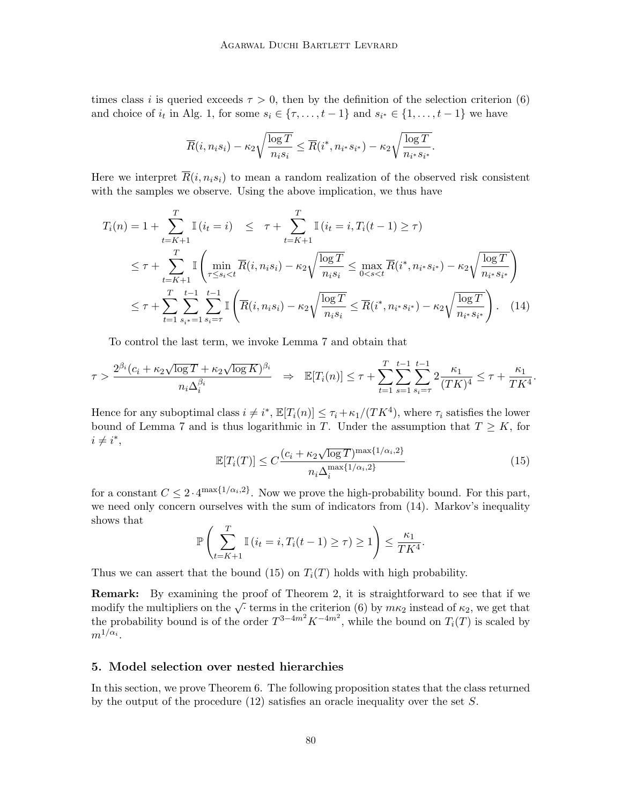times class i is queried exceeds  $\tau > 0$ , then by the definition of the selection criterion [\(6\)](#page-4-0) and choice of  $i_t$  in Alg. [1,](#page-4-1) for some  $s_i \in \{\tau, \ldots, t-1\}$  and  $s_{i^*} \in \{1, \ldots, t-1\}$  we have

$$
\overline{R}(i, n_i s_i) - \kappa_2 \sqrt{\frac{\log T}{n_i s_i}} \leq \overline{R}(i^*, n_{i^*} s_{i^*}) - \kappa_2 \sqrt{\frac{\log T}{n_{i^*} s_{i^*}}}.
$$

Here we interpret  $\overline{R}(i, n_i s_i)$  to mean a random realization of the observed risk consistent with the samples we observe. Using the above implication, we thus have

$$
T_i(n) = 1 + \sum_{t=K+1}^T \mathbb{I}(i_t = i) \leq \tau + \sum_{t=K+1}^T \mathbb{I}(i_t = i, T_i(t-1) \geq \tau)
$$
  
\n
$$
\leq \tau + \sum_{t=K+1}^T \mathbb{I}\left(\min_{\tau \leq s_i < t} \overline{R}(i, n_i s_i) - \kappa_2 \sqrt{\frac{\log T}{n_i s_i}} \leq \max_{0 < s < t} \overline{R}(i^*, n_i * s_{i^*}) - \kappa_2 \sqrt{\frac{\log T}{n_i * s_{i^*}}}\right)
$$
  
\n
$$
\leq \tau + \sum_{t=1}^T \sum_{s_i = 1}^{t-1} \sum_{s_i = \tau}^{t-1} \mathbb{I}\left(\overline{R}(i, n_i s_i) - \kappa_2 \sqrt{\frac{\log T}{n_i s_i}} \leq \overline{R}(i^*, n_i * s_{i^*}) - \kappa_2 \sqrt{\frac{\log T}{n_i * s_{i^*}}}\right). \tag{14}
$$

To control the last term, we invoke Lemma [7](#page-10-1) and obtain that

$$
\tau > \frac{2^{\beta_i} (c_i + \kappa_2 \sqrt{\log T} + \kappa_2 \sqrt{\log K})^{\beta_i}}{n_i \Delta_i^{\beta_i}} \quad \Rightarrow \quad \mathbb{E}[T_i(n)] \le \tau + \sum_{t=1}^T \sum_{s=1}^{t-1} \sum_{s_i = \tau}^{t-1} 2 \frac{\kappa_1}{(TK)^4} \le \tau + \frac{\kappa_1}{TK^4}
$$

Hence for any suboptimal class  $i \neq i^*$ ,  $\mathbb{E}[T_i(n)] \leq \tau_i + \kappa_1/(TK^4)$ , where  $\tau_i$  satisfies the lower bound of Lemma [7](#page-10-1) and is thus logarithmic in T. Under the assumption that  $T \geq K$ , for  $i \neq i^*,$ √

<span id="page-11-2"></span>
$$
\mathbb{E}[T_i(T)] \le C \frac{(c_i + \kappa_2 \sqrt{\log T})^{\max\{1/\alpha_i, 2\}}}{n_i \Delta_i^{\max\{1/\alpha_i, 2\}}}
$$
(15)

<span id="page-11-3"></span><span id="page-11-1"></span>.

for a constant  $C \leq 2 \cdot 4^{\max\{1/\alpha_i,2\}}$ . Now we prove the high-probability bound. For this part, we need only concern ourselves with the sum of indicators from [\(14\)](#page-11-1). Markov's inequality shows that

$$
\mathbb{P}\left(\sum_{t=K+1}^{T} \mathbb{I}\left(i_t = i, T_i(t-1) \geq \tau\right) \geq 1\right) \leq \frac{\kappa_1}{TK^4}.
$$

Thus we can assert that the bound [\(15\)](#page-11-2) on  $T_i(T)$  holds with high probability.

Remark: By examining the proof of Theorem [2,](#page-7-4) it is straightforward to see that if we **THEMA:** By examining the proof of Theorem 2, it is straightforward to see that if we modify the multipliers on the  $\sqrt{\cdot}$  terms in the criterion [\(6\)](#page-4-0) by  $m\kappa_2$  instead of  $\kappa_2$ , we get that the probability bound is of the order  $T^{3-4m^2}K^{-4m^2}$ , while the bound on  $T_i(T)$  is scaled by  $m^{1/\alpha_i}.$ 

### <span id="page-11-0"></span>5. Model selection over nested hierarchies

In this section, we prove Theorem [6.](#page-9-1) The following proposition states that the class returned by the output of the procedure  $(12)$  satisfies an oracle inequality over the set S.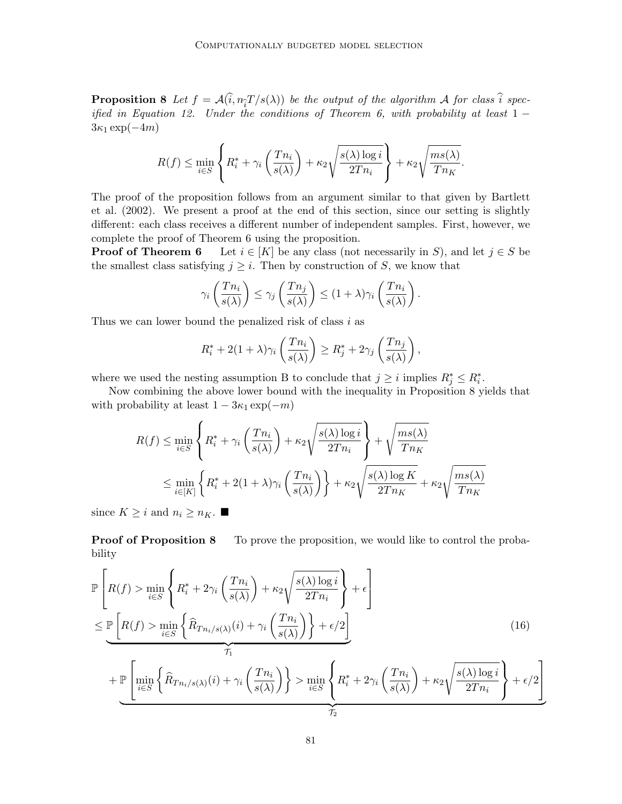**Proposition 8** Let  $f = \mathcal{A}(i, n_{\tilde{t}}T/s(\lambda))$  be the output of the algorithm  $\mathcal{A}$  for class  $i$  spec-<br>if it is Fourtion 10. He last be seedificated Theorem 6, with marked little at least 1 ified in Equation [12.](#page-6-2) Under the conditions of Theorem [6,](#page-9-1) with probability at least  $1 3\kappa_1 \exp(-4m)$ 

$$
R(f) \le \min_{i \in S} \left\{ R_i^* + \gamma_i \left( \frac{Tn_i}{s(\lambda)} \right) + \kappa_2 \sqrt{\frac{s(\lambda) \log i}{2Tn_i}} \right\} + \kappa_2 \sqrt{\frac{ms(\lambda)}{Tn_K}}.
$$

The proof of the proposition follows from an argument similar to that given by [Bartlett](#page-14-3) [et al.](#page-14-3) [\(2002\)](#page-14-3). We present a proof at the end of this section, since our setting is slightly different: each class receives a different number of independent samples. First, however, we complete the proof of Theorem [6](#page-9-1) using the proposition.

**Proof of Theorem [6](#page-9-1)** Let  $i \in [K]$  be any class (not necessarily in S), and let  $j \in S$  be the smallest class satisfying  $j \geq i$ . Then by construction of S, we know that

$$
\gamma_i\left(\frac{Tn_i}{s(\lambda)}\right) \leq \gamma_j\left(\frac{Tn_j}{s(\lambda)}\right) \leq (1+\lambda)\gamma_i\left(\frac{Tn_i}{s(\lambda)}\right).
$$

Thus we can lower bound the penalized risk of class  $i$  as

$$
R_i^* + 2(1+\lambda)\gamma_i\left(\frac{Tn_i}{s(\lambda)}\right) \ge R_j^* + 2\gamma_j\left(\frac{Tn_j}{s(\lambda)}\right),
$$

where we used the nesting assumption [B](#page-5-0) to conclude that  $j \geq i$  implies  $R_j^* \leq R_i^*$ .

Now combining the above lower bound with the inequality in Proposition [8](#page-11-3) yields that with probability at least  $1 - 3\kappa_1 \exp(-m)$ 

$$
R(f) \le \min_{i \in S} \left\{ R_i^* + \gamma_i \left( \frac{T n_i}{s(\lambda)} \right) + \kappa_2 \sqrt{\frac{s(\lambda) \log i}{2T n_i}} \right\} + \sqrt{\frac{m s(\lambda)}{T n_K}}
$$
  

$$
\le \min_{i \in [K]} \left\{ R_i^* + 2(1 + \lambda)\gamma_i \left( \frac{T n_i}{s(\lambda)} \right) \right\} + \kappa_2 \sqrt{\frac{s(\lambda) \log K}{2T n_K}} + \kappa_2 \sqrt{\frac{m s(\lambda)}{T n_K}}
$$

since  $K \geq i$  and  $n_i \geq n_K$ .

**Proof of Proposition [8](#page-11-3)** To prove the proposition, we would like to control the probability

$$
\mathbb{P}\left[R(f) > \min_{i \in S} \left\{ R_i^* + 2\gamma_i \left( \frac{Tn_i}{s(\lambda)} \right) + \kappa_2 \sqrt{\frac{s(\lambda)\log i}{2Tn_i}} \right\} + \epsilon \right]
$$
\n
$$
\leq \underbrace{\mathbb{P}\left[R(f) > \min_{i \in S} \left\{ \widehat{R}_{Tn_i/s(\lambda)}(i) + \gamma_i \left( \frac{Tn_i}{s(\lambda)} \right) \right\} + \epsilon/2 \right]}_{\mathcal{T}_1}
$$
\n
$$
+ \underbrace{\mathbb{P}\left[\min_{i \in S} \left\{ \widehat{R}_{Tn_i/s(\lambda)}(i) + \gamma_i \left( \frac{Tn_i}{s(\lambda)} \right) \right\} > \min_{i \in S} \left\{ R_i^* + 2\gamma_i \left( \frac{Tn_i}{s(\lambda)} \right) + \kappa_2 \sqrt{\frac{s(\lambda)\log i}{2Tn_i}} \right\} + \epsilon/2 \right]}_{\mathcal{T}_2}
$$
\n(16)

<span id="page-12-0"></span>1

 $\mathcal{T}_2$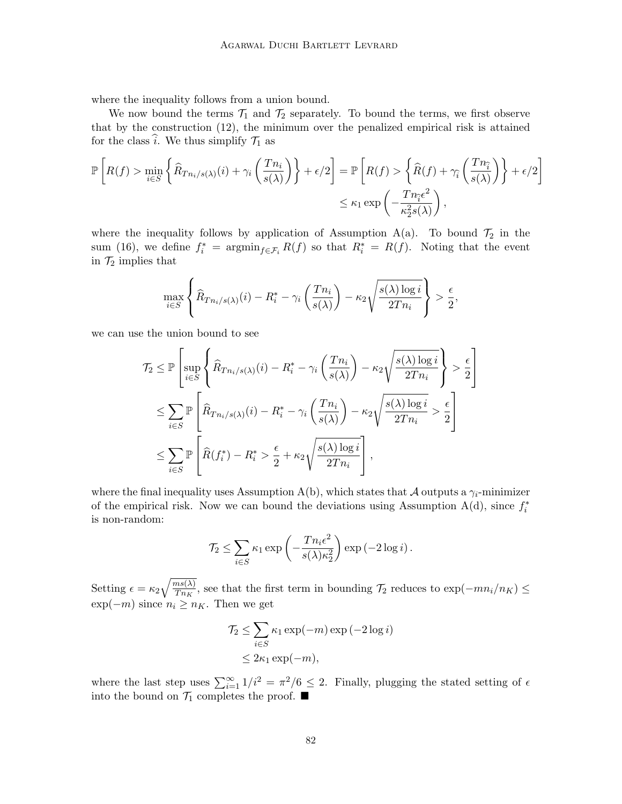where the inequality follows from a union bound.

We now bound the terms  $\mathcal{T}_1$  and  $\mathcal{T}_2$  separately. To bound the terms, we first observe that by the construction [\(12\)](#page-6-2), the minimum over the penalized empirical risk is attained for the class  $\hat{i}$ . We thus simplify  $\mathcal{T}_1$  as

$$
\mathbb{P}\left[R(f) > \min_{i \in S} \left\{\widehat{R}_{T n_i/s(\lambda)}(i) + \gamma_i \left(\frac{T n_i}{s(\lambda)}\right)\right\} + \epsilon/2\right] = \mathbb{P}\left[R(f) > \left\{\widehat{R}(f) + \gamma_i \left(\frac{T n_i}{s(\lambda)}\right)\right\} + \epsilon/2\right]
$$

$$
\leq \kappa_1 \exp\left(-\frac{T n_i \epsilon^2}{\kappa_2^2 s(\lambda)}\right),
$$

where the inequality follows by application of Assumption [A\(](#page-2-1)[a\)](#page-3-2). To bound  $\mathcal{T}_2$  in the sum [\(16\)](#page-12-0), we define  $f_i^* = \operatorname{argmin}_{f \in \mathcal{F}_i} R(f)$  so that  $R_i^* = R(f)$ . Noting that the event in  $\mathcal{T}_2$  implies that

$$
\max_{i \in S} \left\{ \widehat{R}_{T n_i/s(\lambda)}(i) - R_i^* - \gamma_i \left( \frac{T n_i}{s(\lambda)} \right) - \kappa_2 \sqrt{\frac{s(\lambda) \log i}{2T n_i}} \right\} > \frac{\epsilon}{2},
$$

we can use the union bound to see

$$
\mathcal{T}_2 \leq \mathbb{P}\left[\sup_{i \in S} \left\{\widehat{R}_{Tn_i/s(\lambda)}(i) - R_i^* - \gamma_i \left(\frac{Tn_i}{s(\lambda)}\right) - \kappa_2 \sqrt{\frac{s(\lambda)\log i}{2Tn_i}}\right\} > \frac{\epsilon}{2}\right]
$$
  

$$
\leq \sum_{i \in S} \mathbb{P}\left[\widehat{R}_{Tn_i/s(\lambda)}(i) - R_i^* - \gamma_i \left(\frac{Tn_i}{s(\lambda)}\right) - \kappa_2 \sqrt{\frac{s(\lambda)\log i}{2Tn_i}} > \frac{\epsilon}{2}\right]
$$
  

$$
\leq \sum_{i \in S} \mathbb{P}\left[\widehat{R}(f_i^*) - R_i^* > \frac{\epsilon}{2} + \kappa_2 \sqrt{\frac{s(\lambda)\log i}{2Tn_i}}\right],
$$

where the final inequality uses Assumption [A\(](#page-2-1)[b\)](#page-3-3), which states that A outputs a  $\gamma_i$ -minimizer of the empirical risk. Now we can bound the deviations using Assumption  $A(d)$  $A(d)$ , since  $f_i^*$ is non-random:

$$
\mathcal{T}_2 \leq \sum_{i \in S} \kappa_1 \exp\left(-\frac{T n_i \epsilon^2}{s(\lambda) \kappa_2^2}\right) \exp\left(-2 \log i\right).
$$

Setting  $\epsilon = \kappa_2 \sqrt{\frac{ms(\lambda)}{Tn_{K}}}$  $\frac{ms(\lambda)}{Tn_K}$ , see that the first term in bounding  $\mathcal{T}_2$  reduces to exp $(-mn_i/n_K) \le$  $\exp(-m)$  since  $n_i \geq n_K$ . Then we get

$$
\mathcal{T}_2 \le \sum_{i \in S} \kappa_1 \exp(-m) \exp(-2 \log i)
$$
  

$$
\le 2\kappa_1 \exp(-m),
$$

where the last step uses  $\sum_{i=1}^{\infty} 1/i^2 = \pi^2/6 \leq 2$ . Finally, plugging the stated setting of  $\epsilon$ into the bound on  $\mathcal{T}_1$  completes the proof.  $\blacksquare$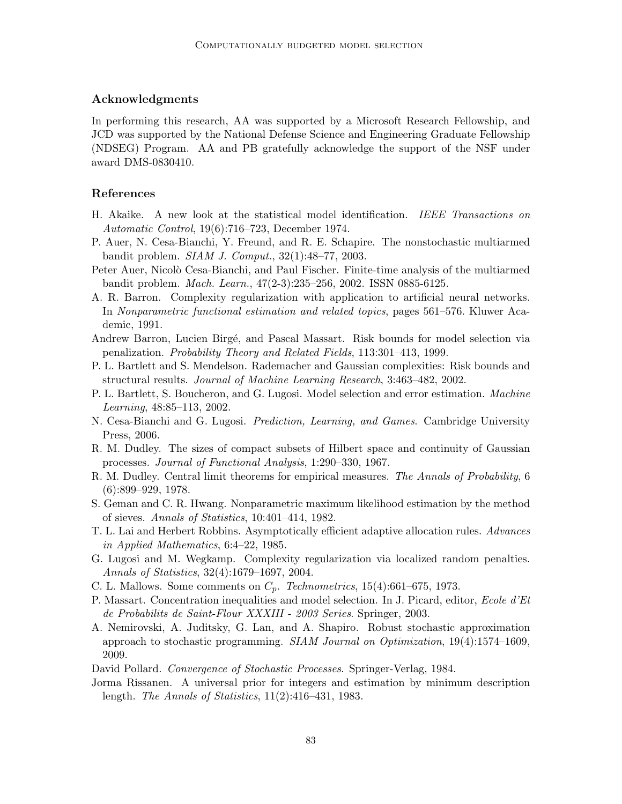# Acknowledgments

In performing this research, AA was supported by a Microsoft Research Fellowship, and JCD was supported by the National Defense Science and Engineering Graduate Fellowship (NDSEG) Program. AA and PB gratefully acknowledge the support of the NSF under award DMS-0830410.

# References

- <span id="page-14-1"></span>H. Akaike. A new look at the statistical model identification. IEEE Transactions on Automatic Control, 19(6):716–723, December 1974.
- <span id="page-14-17"></span>P. Auer, N. Cesa-Bianchi, Y. Freund, and R. E. Schapire. The nonstochastic multiarmed bandit problem. SIAM J. Comput., 32(1):48–77, 2003.
- <span id="page-14-14"></span>Peter Auer, Nicolò Cesa-Bianchi, and Paul Fischer. Finite-time analysis of the multiarmed bandit problem. Mach. Learn., 47(2-3):235–256, 2002. ISSN 0885-6125.
- <span id="page-14-7"></span>A. R. Barron. Complexity regularization with application to artificial neural networks. In Nonparametric functional estimation and related topics, pages 561–576. Kluwer Academic, 1991.
- <span id="page-14-15"></span>Andrew Barron, Lucien Birgé, and Pascal Massart. Risk bounds for model selection via penalization. Probability Theory and Related Fields, 113:301–413, 1999.
- <span id="page-14-10"></span>P. L. Bartlett and S. Mendelson. Rademacher and Gaussian complexities: Risk bounds and structural results. Journal of Machine Learning Research, 3:463–482, 2002.
- <span id="page-14-3"></span>P. L. Bartlett, S. Boucheron, and G. Lugosi. Model selection and error estimation. Machine Learning, 48:85–113, 2002.
- <span id="page-14-12"></span>N. Cesa-Bianchi and G. Lugosi. *Prediction, Learning, and Games*. Cambridge University Press, 2006.
- <span id="page-14-11"></span>R. M. Dudley. The sizes of compact subsets of Hilbert space and continuity of Gaussian processes. Journal of Functional Analysis, 1:290–330, 1967.
- <span id="page-14-8"></span>R. M. Dudley. Central limit theorems for empirical measures. The Annals of Probability, 6  $(6):899-929, 1978.$
- <span id="page-14-5"></span>S. Geman and C. R. Hwang. Nonparametric maximum likelihood estimation by the method of sieves. Annals of Statistics, 10:401–414, 1982.
- <span id="page-14-16"></span>T. L. Lai and Herbert Robbins. Asymptotically efficient adaptive allocation rules. Advances in Applied Mathematics, 6:4–22, 1985.
- <span id="page-14-4"></span>G. Lugosi and M. Wegkamp. Complexity regularization via localized random penalties. Annals of Statistics, 32(4):1679–1697, 2004.
- <span id="page-14-0"></span>C. L. Mallows. Some comments on  $C_p$ . Technometrics, 15(4):661–675, 1973.
- <span id="page-14-2"></span>P. Massart. Concentration inequalities and model selection. In J. Picard, editor, Ecole d'Et de Probabilits de Saint-Flour XXXIII - 2003 Series. Springer, 2003.
- <span id="page-14-13"></span>A. Nemirovski, A. Juditsky, G. Lan, and A. Shapiro. Robust stochastic approximation approach to stochastic programming. SIAM Journal on Optimization, 19(4):1574–1609, 2009.
- <span id="page-14-9"></span>David Pollard. Convergence of Stochastic Processes. Springer-Verlag, 1984.
- <span id="page-14-6"></span>Jorma Rissanen. A universal prior for integers and estimation by minimum description length. The Annals of Statistics, 11(2):416–431, 1983.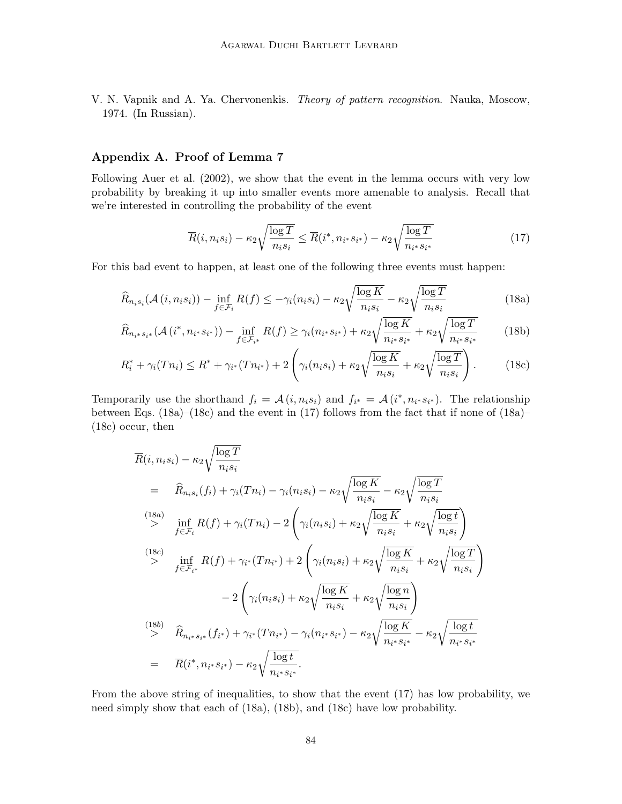<span id="page-15-0"></span>V. N. Vapnik and A. Ya. Chervonenkis. Theory of pattern recognition. Nauka, Moscow, 1974. (In Russian).

# <span id="page-15-1"></span>Appendix A. Proof of Lemma [7](#page-10-1)

Following [Auer et al.](#page-14-14) [\(2002\)](#page-14-14), we show that the event in the lemma occurs with very low probability by breaking it up into smaller events more amenable to analysis. Recall that we're interested in controlling the probability of the event

<span id="page-15-5"></span><span id="page-15-4"></span><span id="page-15-3"></span><span id="page-15-2"></span>
$$
\overline{R}(i, n_i s_i) - \kappa_2 \sqrt{\frac{\log T}{n_i s_i}} \le \overline{R}(i^*, n_{i^*} s_{i^*}) - \kappa_2 \sqrt{\frac{\log T}{n_{i^*} s_{i^*}}} \tag{17}
$$

For this bad event to happen, at least one of the following three events must happen:

$$
\widehat{R}_{n_i s_i}(\mathcal{A}(i, n_i s_i)) - \inf_{f \in \mathcal{F}_i} R(f) \le -\gamma_i(n_i s_i) - \kappa_2 \sqrt{\frac{\log K}{n_i s_i}} - \kappa_2 \sqrt{\frac{\log T}{n_i s_i}} \tag{18a}
$$

$$
\widehat{R}_{n_{i}*s_{i}*}(\mathcal{A}(i^*, n_{i^*} s_{i^*})) - \inf_{f \in \mathcal{F}_{i^*}} R(f) \ge \gamma_i(n_{i^*} s_{i^*}) + \kappa_2 \sqrt{\frac{\log K}{n_{i^*} s_{i^*}}} + \kappa_2 \sqrt{\frac{\log T}{n_{i^*} s_{i^*}}} \tag{18b}
$$

$$
R_i^* + \gamma_i(Tn_i) \le R^* + \gamma_{i^*}(Tn_{i^*}) + 2\left(\gamma_i(n_i s_i) + \kappa_2 \sqrt{\frac{\log K}{n_i s_i}} + \kappa_2 \sqrt{\frac{\log T}{n_i s_i}}\right). \tag{18c}
$$

Temporarily use the shorthand  $f_i = \mathcal{A}(i, n_i s_i)$  and  $f_{i^*} = \mathcal{A}(i^*, n_{i^*} s_{i^*})$ . The relationship between Eqs.  $(18a)$ – $(18c)$  and the event in  $(17)$  follows from the fact that if none of  $(18a)$ – [\(18c\)](#page-15-3) occur, then

$$
\overline{R}(i, n_i s_i) - \kappa_2 \sqrt{\frac{\log T}{n_i s_i}} \\
= \widehat{R}_{n_i s_i}(f_i) + \gamma_i (T n_i) - \gamma_i (n_i s_i) - \kappa_2 \sqrt{\frac{\log K}{n_i s_i}} - \kappa_2 \sqrt{\frac{\log T}{n_i s_i}} \\
\stackrel{(18a)}{\geq} \inf_{f \in \mathcal{F}_i} R(f) + \gamma_i (T n_i) - 2 \left( \gamma_i (n_i s_i) + \kappa_2 \sqrt{\frac{\log K}{n_i s_i}} + \kappa_2 \sqrt{\frac{\log t}{n_i s_i}} \right) \\
\stackrel{(18c)}{\geq} \inf_{f \in \mathcal{F}_{i^*}} R(f) + \gamma_{i^*} (T n_{i^*}) + 2 \left( \gamma_i (n_i s_i) + \kappa_2 \sqrt{\frac{\log K}{n_i s_i}} + \kappa_2 \sqrt{\frac{\log T}{n_i s_i}} \right) \\
- 2 \left( \gamma_i (n_i s_i) + \kappa_2 \sqrt{\frac{\log K}{n_i s_i}} + \kappa_2 \sqrt{\frac{\log n}{n_i s_i}} \right) \\
\stackrel{(18b)}{\geq} \widehat{R}_{n_i^* s_{i^*}}(f_{i^*}) + \gamma_{i^*} (T n_{i^*}) - \gamma_i (n_{i^*} s_{i^*}) - \kappa_2 \sqrt{\frac{\log K}{n_{i^*} s_{i^*}}} - \kappa_2 \sqrt{\frac{\log t}{n_{i^*} s_{i^*}}} \\
= \overline{R}(i^*, n_{i^*} s_{i^*}) - \kappa_2 \sqrt{\frac{\log t}{n_{i^*} s_{i^*}}}.
$$

From the above string of inequalities, to show that the event [\(17\)](#page-15-4) has low probability, we need simply show that each of [\(18a\)](#page-15-2), [\(18b\)](#page-15-5), and [\(18c\)](#page-15-3) have low probability.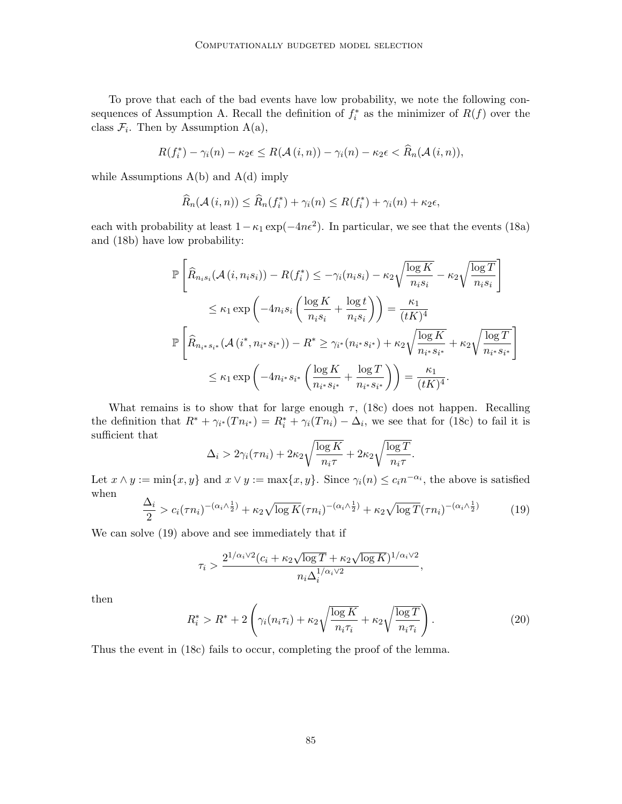To prove that each of the bad events have low probability, we note the following con-sequences of Assumption [A.](#page-2-1) Recall the definition of  $f_i^*$  as the minimizer of  $R(f)$  over the class  $\mathcal{F}_i$ . Then by Assumption [A\(](#page-2-1)[a\)](#page-3-2),

$$
R(f_i^*) - \gamma_i(n) - \kappa_2 \epsilon \leq R(\mathcal{A}(i,n)) - \gamma_i(n) - \kappa_2 \epsilon < \widehat{R}_n(\mathcal{A}(i,n)),
$$

while Assumptions  $A(b)$  $A(b)$  and  $A(d)$  $A(d)$  imply

$$
\widehat{R}_n(\mathcal{A}(i,n)) \leq \widehat{R}_n(f_i^*) + \gamma_i(n) \leq R(f_i^*) + \gamma_i(n) + \kappa_2 \epsilon,
$$

each with probability at least  $1 - \kappa_1 \exp(-4n\epsilon^2)$ . In particular, we see that the events [\(18a\)](#page-15-2) and [\(18b\)](#page-15-5) have low probability:

$$
\mathbb{P}\left[\widehat{R}_{n_is_i}(\mathcal{A}(i,n_is_i)) - R(f_i^*) \le -\gamma_i(n_is_i) - \kappa_2 \sqrt{\frac{\log K}{n_is_i}} - \kappa_2 \sqrt{\frac{\log T}{n_is_i}}\right]
$$
  
\n
$$
\le \kappa_1 \exp\left(-4n_is_i\left(\frac{\log K}{n_is_i} + \frac{\log t}{n_is_i}\right)\right) = \frac{\kappa_1}{(tK)^4}
$$
  
\n
$$
\mathbb{P}\left[\widehat{R}_{n_is_i^*}(\mathcal{A}(i^*, n_is_{i^*})) - R^* \ge \gamma_{i^*}(n_i^*s_{i^*}) + \kappa_2 \sqrt{\frac{\log K}{n_i^*s_{i^*}}} + \kappa_2 \sqrt{\frac{\log T}{n_i^*s_{i^*}}}\right]
$$
  
\n
$$
\le \kappa_1 \exp\left(-4n_i^*s_{i^*}\left(\frac{\log K}{n_i^*s_{i^*}} + \frac{\log T}{n_i^*s_{i^*}}\right)\right) = \frac{\kappa_1}{(tK)^4}.
$$

What remains is to show that for large enough  $\tau$ , [\(18c\)](#page-15-3) does not happen. Recalling the definition that  $R^* + \gamma_{i^*}(T n_{i^*}) = R_i^* + \gamma_i(T n_i) - \Delta_i$ , we see that for [\(18c\)](#page-15-3) to fail it is sufficient that

$$
\Delta_i > 2\gamma_i(\tau n_i) + 2\kappa_2 \sqrt{\frac{\log K}{n_i \tau}} + 2\kappa_2 \sqrt{\frac{\log T}{n_i \tau}}.
$$

Let  $x \wedge y := \min\{x, y\}$  and  $x \vee y := \max\{x, y\}$ . Since  $\gamma_i(n) \leq c_i n^{-\alpha_i}$ , the above is satisfied when

<span id="page-16-0"></span>
$$
\frac{\Delta_i}{2} > c_i(\tau n_i)^{-(\alpha_i \wedge \frac{1}{2})} + \kappa_2 \sqrt{\log K} (\tau n_i)^{-(\alpha_i \wedge \frac{1}{2})} + \kappa_2 \sqrt{\log T} (\tau n_i)^{-(\alpha_i \wedge \frac{1}{2})}
$$
(19)

We can solve [\(19\)](#page-16-0) above and see immediately that if

$$
\tau_i > \frac{2^{1/\alpha_i \vee 2} (c_i + \kappa_2 \sqrt{\log T} + \kappa_2 \sqrt{\log K})^{1/\alpha_i \vee 2}}{n_i \Delta_i^{1/\alpha_i \vee 2}},
$$

then

$$
R_i^* > R^* + 2\left(\gamma_i(n_i\tau_i) + \kappa_2\sqrt{\frac{\log K}{n_i\tau_i}} + \kappa_2\sqrt{\frac{\log T}{n_i\tau_i}}\right). \tag{20}
$$

Thus the event in [\(18c\)](#page-15-3) fails to occur, completing the proof of the lemma.